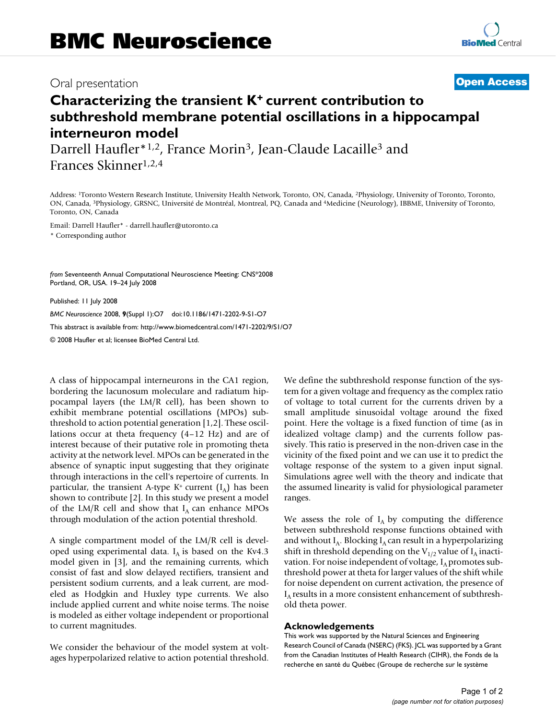## Oral presentation **[Open Access](http://www.biomedcentral.com/info/about/charter/)**

# **Characterizing the transient K+ current contribution to subthreshold membrane potential oscillations in a hippocampal interneuron model**

Darrell Haufler<sup>\*1,2</sup>, France Morin<sup>3</sup>, Jean-Claude Lacaille<sup>3</sup> and Frances Skinner1,2,4

Address: 1Toronto Western Research Institute, University Health Network, Toronto, ON, Canada, 2Physiology, University of Toronto, Toronto, ON, Canada, 3Physiology, GRSNC, Université de Montréal, Montreal, PQ, Canada and 4Medicine (Neurology), IBBME, University of Toronto, Toronto, ON, Canada

Email: Darrell Haufler\* - darrell.haufler@utoronto.ca

\* Corresponding author

*from* Seventeenth Annual Computational Neuroscience Meeting: CNS\*2008 Portland, OR, USA. 19–24 July 2008

Published: 11 July 2008

*BMC Neuroscience* 2008, **9**(Suppl 1):O7 doi:10.1186/1471-2202-9-S1-O7

[This abstract is available from: http://www.biomedcentral.com/1471-2202/9/S1/O7](http://www.biomedcentral.com/1471-2202/9/S1/O7)

© 2008 Haufler et al; licensee BioMed Central Ltd.

A class of hippocampal interneurons in the CA1 region, bordering the lacunosum moleculare and radiatum hippocampal layers (the LM/R cell), has been shown to exhibit membrane potential oscillations (MPOs) subthreshold to action potential generation [1,2]. These oscillations occur at theta frequency (4–12 Hz) and are of interest because of their putative role in promoting theta activity at the network level. MPOs can be generated in the absence of synaptic input suggesting that they originate through interactions in the cell's repertoire of currents. In particular, the transient A-type  $K^+$  current  $(I_A)$  has been shown to contribute [2]. In this study we present a model of the LM/R cell and show that  $I_A$  can enhance MPOs through modulation of the action potential threshold.

A single compartment model of the LM/R cell is developed using experimental data.  $I_A$  is based on the Kv4.3 model given in [3], and the remaining currents, which consist of fast and slow delayed rectifiers, transient and persistent sodium currents, and a leak current, are modeled as Hodgkin and Huxley type currents. We also include applied current and white noise terms. The noise is modeled as either voltage independent or proportional to current magnitudes.

We consider the behaviour of the model system at voltages hyperpolarized relative to action potential threshold. We define the subthreshold response function of the system for a given voltage and frequency as the complex ratio of voltage to total current for the currents driven by a small amplitude sinusoidal voltage around the fixed point. Here the voltage is a fixed function of time (as in idealized voltage clamp) and the currents follow passively. This ratio is preserved in the non-driven case in the vicinity of the fixed point and we can use it to predict the voltage response of the system to a given input signal. Simulations agree well with the theory and indicate that the assumed linearity is valid for physiological parameter ranges.

We assess the role of  $I_A$  by computing the difference between subthreshold response functions obtained with and without  $I_A$ . Blocking  $I_A$  can result in a hyperpolarizing shift in threshold depending on the  $V_{1/2}$  value of  $I_A$  inactivation. For noise independent of voltage,  $I_A$  promotes subthreshold power at theta for larger values of the shift while for noise dependent on current activation, the presence of  $I_A$  results in a more consistent enhancement of subthreshold theta power.

## **Acknowledgements**

This work was supported by the Natural Sciences and Engineering Research Council of Canada (NSERC) (FKS). JCL was supported by a Grant from the Canadian Institutes of Health Research (CIHR), the Fonds de la recherche en santé du Québec (Groupe de recherche sur le système